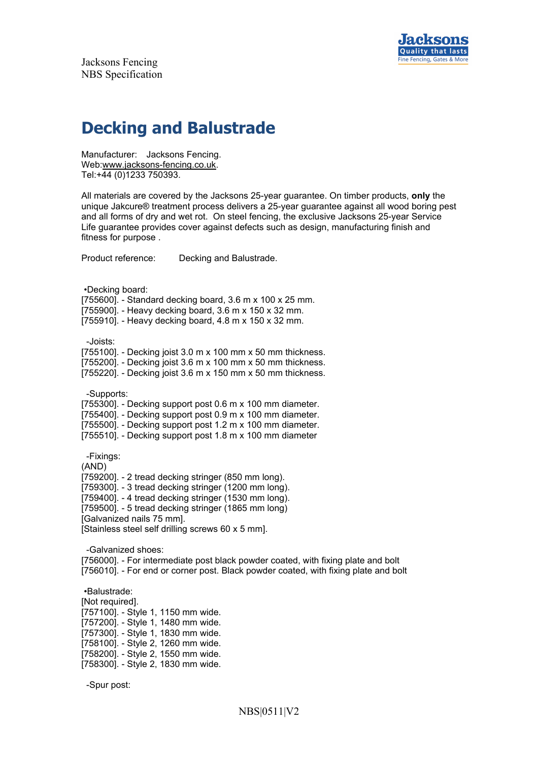



# **Decking and Balustrade**

Manufacturer: Jacksons Fencing. Web:www.jacksons-fencing.co.uk. Tel:+44 (0)1233 750393.

All materials are covered by the Jacksons 25-year guarantee. On timber products, **only** the unique Jakcure® treatment process delivers a 25-year guarantee against all wood boring pest and all forms of dry and wet rot. On steel fencing, the exclusive Jacksons 25-year Service Life guarantee provides cover against defects such as design, manufacturing finish and fitness for purpose .

Product reference: Decking and Balustrade.

•Decking board:

[755600]. - Standard decking board, 3.6 m x 100 x 25 mm.

[755900]. - Heavy decking board, 3.6 m x 150 x 32 mm.

[755910]. - Heavy decking board, 4.8 m x 150 x 32 mm.

-Joists:

[755100]. - Decking joist 3.0 m x 100 mm x 50 mm thickness.

[755200]. - Decking joist 3.6 m x 100 mm x 50 mm thickness.

[755220]. - Decking joist 3.6 m x 150 mm x 50 mm thickness.

-Supports:

[755300]. - Decking support post 0.6 m x 100 mm diameter.

[755400]. - Decking support post 0.9 m x 100 mm diameter.

[755500]. - Decking support post 1.2 m x 100 mm diameter.

[755510]. - Decking support post 1.8 m x 100 mm diameter

-Fixings:

(AND)

[759200]. - 2 tread decking stringer (850 mm long).

[759300]. - 3 tread decking stringer (1200 mm long).

[759400]. - 4 tread decking stringer (1530 mm long).

[759500]. - 5 tread decking stringer (1865 mm long)

[Galvanized nails 75 mm].

[Stainless steel self drilling screws 60 x 5 mm].

-Galvanized shoes:

[756000]. - For intermediate post black powder coated, with fixing plate and bolt [756010]. - For end or corner post. Black powder coated, with fixing plate and bolt

•Balustrade:

[Not required]. [757100]. - Style 1, 1150 mm wide. [757200]. - Style 1, 1480 mm wide. [757300]. - Style 1, 1830 mm wide. [758100]. - Style 2, 1260 mm wide. [758200]. - Style 2, 1550 mm wide. [758300]. - Style 2, 1830 mm wide.

-Spur post: